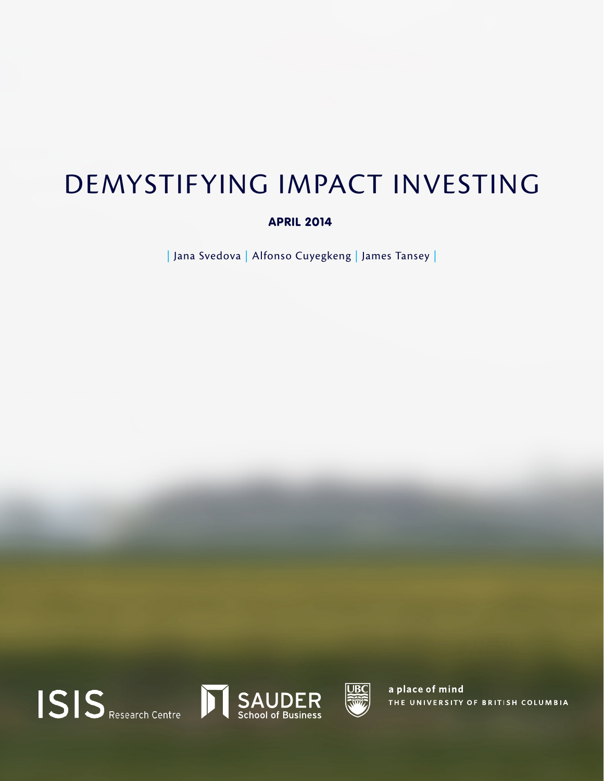## DEMYSTIFYING IMPACT INVESTING

#### APRIL 2014

| Jana Svedova | Alfonso Cuyegkeng | James Tansey |







a place of mind THE UNIVERSITY OF BRITISH COLUMBIA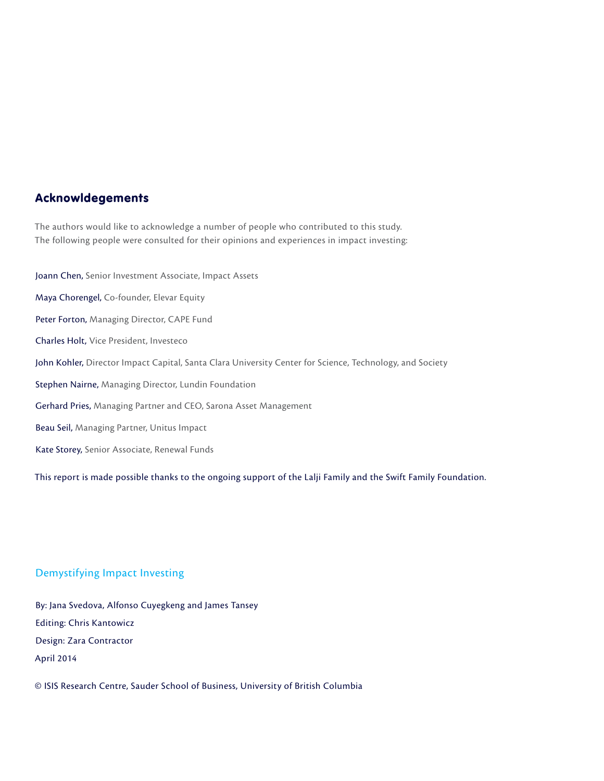#### Acknowldegements

The authors would like to acknowledge a number of people who contributed to this study. The following people were consulted for their opinions and experiences in impact investing:

Joann Chen, Senior Investment Associate, Impact Assets Maya Chorengel, Co-founder, Elevar Equity Peter Forton, Managing Director, CAPE Fund Charles Holt, Vice President, Investeco John Kohler, Director Impact Capital, Santa Clara University Center for Science, Technology, and Society Stephen Nairne, Managing Director, Lundin Foundation Gerhard Pries, Managing Partner and CEO, Sarona Asset Management Beau Seil, Managing Partner, Unitus Impact Kate Storey, Senior Associate, Renewal Funds

This report is made possible thanks to the ongoing support of the Lalji Family and the Swift Family Foundation.

#### Demystifying Impact Investing

By: Jana Svedova, Alfonso Cuyegkeng and James Tansey Editing: Chris Kantowicz Design: Zara Contractor April 2014

© ISIS Research Centre, Sauder School of Business, University of British Columbia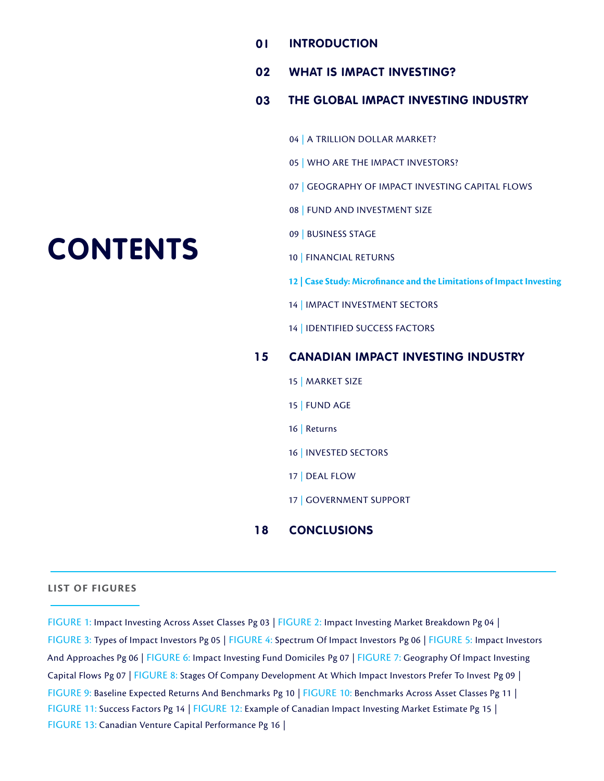- **INTRODUCTION 0 I**
- **WHAT IS IMPACT INVESTING? 02**

#### **THE GLOBAL IMPACT INVESTING INDUSTRY 03**

- 04 | A TRILLION DOLLAR MARKET?
- 05 | WHO ARE THE IMPACT INVESTORS?
- 07 | GEOGRAPHY OF IMPACT INVESTING CAPITAL FLOWS
- 08 | FUND AND INVESTMENT SIZE
- 09 | BUSINESS STAGE
- 10 | FINANCIAL RETURNS
- **12 | Case Study: Microfinance and the Limitations of Impact Investing**
- 14 | IMPACT INVESTMENT SECTORS
- 14 | IDENTIFIED SUCCESS FACTORS

#### **1 5 CANADIAN IMPACT INVESTING INDUSTRY**

- 15 | MARKET SIZE
- 15 | FUND AGE
- 16 | Returns
- 16 | INVESTED SECTORS
- 17 | DEAL FLOW
- 17 | GOVERNMENT SUPPORT

#### **1 8 CONCLUSIONS**

#### **LIST OF FIGURES**

FIGURE 1: Impact Investing Across Asset Classes Pg 03 | FIGURE 2: Impact Investing Market Breakdown Pg 04 | FIGURE 3: Types of Impact Investors Pg 05 | FIGURE 4: Spectrum Of Impact Investors Pg 06 | FIGURE 5: Impact Investors And Approaches Pg 06 | FIGURE 6: Impact Investing Fund Domiciles Pg 07 | FIGURE 7: Geography Of Impact Investing Capital Flows Pg 07 | FIGURE 8: Stages Of Company Development At Which Impact Investors Prefer To Invest Pg 09 | FIGURE 9: Baseline Expected Returns And Benchmarks Pg 10 | FIGURE 10: Benchmarks Across Asset Classes Pg 11 | FIGURE 11: Success Factors Pg 14 | FIGURE 12: Example of Canadian Impact Investing Market Estimate Pg 15 | FIGURE 13: Canadian Venture Capital Performance Pg 16 |

# **CONTENTS**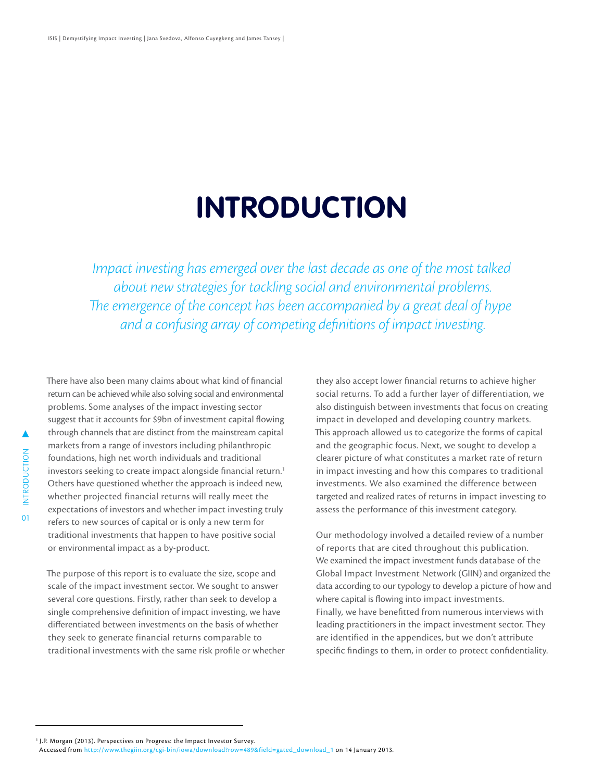# **INTRODUCTION**

*Impact investing has emerged over the last decade as one of the most talked about new strategies for tackling social and environmental problems. The emergence of the concept has been accompanied by a great deal of hype and a confusing array of competing definitions of impact investing.*

INTRODUCTION INTRODUCTION 01 There have also been many claims about what kind of financial return can be achieved while also solving social and environmental problems. Some analyses of the impact investing sector suggest that it accounts for \$9bn of investment capital flowing through channels that are distinct from the mainstream capital markets from a range of investors including philanthropic foundations, high net worth individuals and traditional investors seeking to create impact alongside financial return.<sup>1</sup> Others have questioned whether the approach is indeed new, whether projected financial returns will really meet the expectations of investors and whether impact investing truly refers to new sources of capital or is only a new term for traditional investments that happen to have positive social or environmental impact as a by-product.

The purpose of this report is to evaluate the size, scope and scale of the impact investment sector. We sought to answer several core questions. Firstly, rather than seek to develop a single comprehensive definition of impact investing, we have differentiated between investments on the basis of whether they seek to generate financial returns comparable to traditional investments with the same risk profile or whether

they also accept lower financial returns to achieve higher social returns. To add a further layer of differentiation, we also distinguish between investments that focus on creating impact in developed and developing country markets. This approach allowed us to categorize the forms of capital and the geographic focus. Next, we sought to develop a clearer picture of what constitutes a market rate of return in impact investing and how this compares to traditional investments. We also examined the difference between targeted and realized rates of returns in impact investing to assess the performance of this investment category.

Our methodology involved a detailed review of a number of reports that are cited throughout this publication. We examined the impact investment funds database of the Global Impact Investment Network (GIIN) and organized the data according to our typology to develop a picture of how and where capital is flowing into impact investments. Finally, we have benefitted from numerous interviews with leading practitioners in the impact investment sector. They are identified in the appendices, but we don't attribute specific findings to them, in order to protect confidentiality.

<sup>1</sup> J.P. Morgan (2013). Perspectives on Progress: the Impact Investor Survey.

Accessed from [http://www.thegiin.org/cgi-bin/iowa/download?row=489&field=gated\\_download\\_1](  J.P. Morgan (2013). Perspectives on Progress: the Impact Investor Survey. Accessed from http://www.thegiin.org/cgi-bin/iowa/download?row=489&field=gated_download_1. on 14 January 2013. ) on 14 January 2013.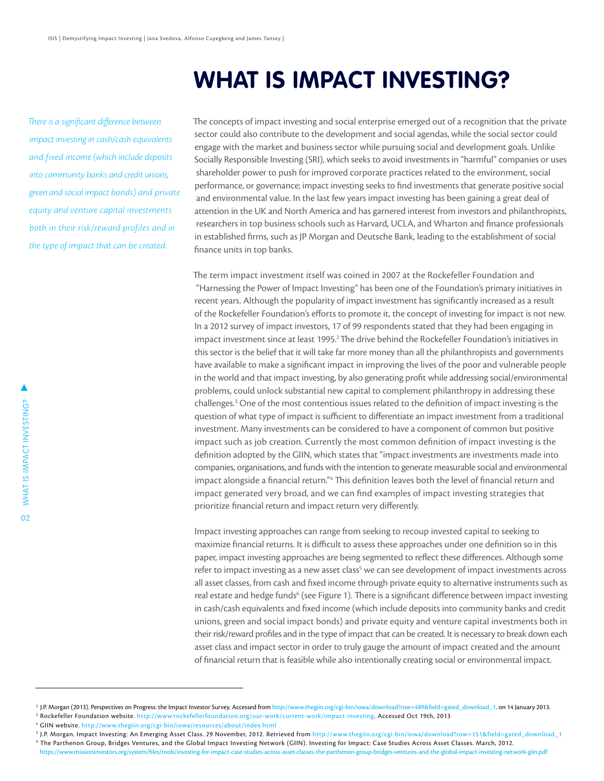### **WHAT IS IMPACT INVESTING?**

*There is a significant difference between impact investing in cash/cash equivalents and fixed income (which include deposits into community banks and credit unions, green and social impact bonds) and private equity and venture capital investments both in their risk/reward profiles and in the type of impact that can be created.*

The concepts of impact investing and social enterprise emerged out of a recognition that the private sector could also contribute to the development and social agendas, while the social sector could engage with the market and business sector while pursuing social and development goals. Unlike Socially Responsible Investing (SRI), which seeks to avoid investments in "harmful" companies or uses shareholder power to push for improved corporate practices related to the environment, social performance, or governance; impact investing seeks to find investments that generate positive social and environmental value. In the last few years impact investing has been gaining a great deal of attention in the UK and North America and has garnered interest from investors and philanthropists, researchers in top business schools such as Harvard, UCLA, and Wharton and finance professionals in established firms, such as JP Morgan and Deutsche Bank, leading to the establishment of social finance units in top banks.

The term impact investment itself was coined in 2007 at the Rockefeller Foundation and "Harnessing the Power of Impact Investing" has been one of the Foundation's primary initiatives in recent years. Although the popularity of impact investment has significantly increased as a result of the Rockefeller Foundation's efforts to promote it, the concept of investing for impact is not new. In a 2012 survey of impact investors, 17 of 99 respondents stated that they had been engaging in impact investment since at least 1995.<sup>2</sup> The drive behind the Rockefeller Foundation's initiatives in this sector is the belief that it will take far more money than all the philanthropists and governments have available to make a significant impact in improving the lives of the poor and vulnerable people in the world and that impact investing, by also generating profit while addressing social/environmental problems, could unlock substantial new capital to complement philanthropy in addressing these challenges.<sup>3</sup> One of the most contentious issues related to the definition of impact investing is the question of what type of impact is sufficient to differentiate an impact investment from a traditional investment. Many investments can be considered to have a component of common but positive impact such as job creation. Currently the most common definition of impact investing is the definition adopted by the GIIN, which states that "impact investments are investments made into companies, organisations, and funds with the intention to generate measurable social and environmental impact alongside a financial return."4 This definition leaves both the level of financial return and impact generated very broad, and we can find examples of impact investing strategies that prioritize financial return and impact return very differently.

Impact investing approaches can range from seeking to recoup invested capital to seeking to maximize financial returns. It is difficult to assess these approaches under one definition so in this paper, impact investing approaches are being segmented to reflect these differences. Although some refer to impact investing as a new asset class $^{\mathsf{s}}$  we can see development of impact investments across all asset classes, from cash and fixed income through private equity to alternative instruments such as real estate and hedge funds<sup>6</sup> (see Figure 1). There is a significant difference between impact investing in cash/cash equivalents and fixed income (which include deposits into community banks and credit unions, green and social impact bonds) and private equity and venture capital investments both in their risk/reward profiles and in the type of impact that can be created. It is necessary to break down each asset class and impact sector in order to truly gauge the amount of impact created and the amount of financial return that is feasible while also intentionally creating social or environmental impact.

- 
- <sup>5</sup> J.P. Morgan. Impact Investing: An Emerging Asset Class. 29 November, 2012. Retrieved from <http://www.thegiin.org/cgi-bin/iowa/>download?row=151&field=gated\_download\_1

<sup>&</sup>lt;sup>2</sup> J.P. Morgan (2013). Perspectives on Progress: the Impact Investor Survey. Accessed from [http://www.thegiin.org/cgi-bin/iowa/download?row=489&field=gated\\_download\\_1.](http://www.thegiin.org/cgi-bin/iowa/download?row=489&field=gated_download_1) on 14 January 2013. <sup>3</sup> Rockefeller Foundation website. [http://www.rockefellerfoundation.org/our-work/current-work/impact-investing.](http://www.rockefellerfoundation.org/our-work/current-work/impact-investing) Accessed Oct 19th, 2013<br><sup>4</sup> GIIN website. [http://www.thegiin.org/cgi-bin/iowa/resources/about/index.html]( http://www.thegiin.org/cgi-bin/iowa/resources/about/index.html)

<sup>6</sup> The Parthenon Group, Bridges Ventures, and the Global Impact Investing Network (GIIN). Investing for Impact: Case Studies Across Asset Classes. March, 2012. <https://www.missioninvestors.org/system/files/tools/investing-for-impact-case-studies-across-asset-classes-the-parthenon-group-bridges-ventures-and-the-global-impact-investing-network-giin.pdf>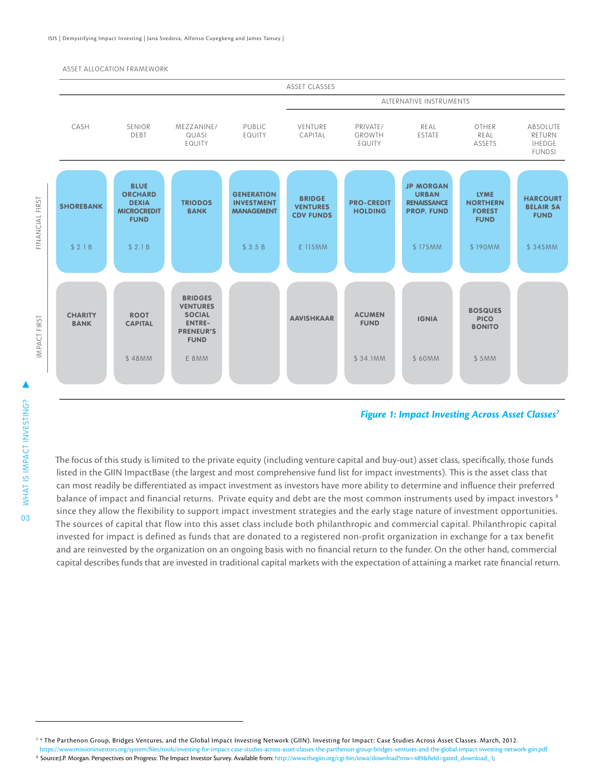#### ASSET ALLOCATION FRAMEWORK



#### *Figure 1: Impact Investing Across Asset Classes7*

The focus of this study is limited to the private equity (including venture capital and buy-out) asset class, specifically, those funds listed in the GIIN ImpactBase (the largest and most comprehensive fund list for impact investments). This is the asset class that can most readily be differentiated as impact investment as investors have more ability to determine and influence their preferred balance of impact and financial returns. Private equity and debt are the most common instruments used by impact investors <sup>8</sup> since they allow the flexibility to support impact investment strategies and the early stage nature of investment opportunities. The sources of capital that flow into this asset class include both philanthropic and commercial capital. Philanthropic capital invested for impact is defined as funds that are donated to a registered non-profit organization in exchange for a tax benefit and are reinvested by the organization on an ongoing basis with no financial return to the funder. On the other hand, commercial capital describes funds that are invested in traditional capital markets with the expectation of attaining a market rate financial return.

<sup>8</sup> Source:J.P. Morgan. Perspectives on Progress: The Impact Investor Survey. Available from: [http://www.thegiin.org/cgi-bin/iowa/download?row=489&field=gated\\_download\\_1;](http://www.thegiin.org/cgi-bin/iowa/download?row=489&field=gated_download_1)

03

<sup>&</sup>lt;sup>76</sup> The Parthenon Group, Bridges Ventures, and the Global Impact Investing Network (GIIN). Investing for Impact: Case Studies Across Asset Classes. March, 2012.

<https://www.missioninvestors.org/system/files/tools/investing-for-impact-case-studies-across-asset-classes-the-parthenon-group-bridges-ventures-and-the-global-impact-investing-network-giin.pdf>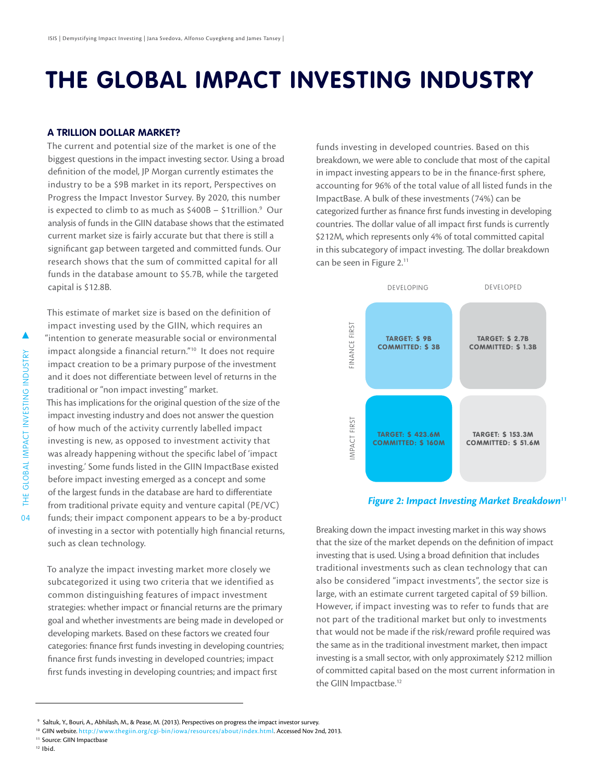### **THE GLOBAL IMPACT INVESTING INDUSTRY**

#### **A TRILLION DOLLAR MARKET?**

The current and potential size of the market is one of the biggest questions in the impact investing sector. Using a broad definition of the model, JP Morgan currently estimates the industry to be a \$9B market in its report, Perspectives on Progress the Impact Investor Survey. By 2020, this number is expected to climb to as much as  $$400B - $11$ rillion.<sup>9</sup> Our analysis of funds in the GIIN database shows that the estimated current market size is fairly accurate but that there is still a significant gap between targeted and committed funds. Our research shows that the sum of committed capital for all funds in the database amount to \$5.7B, while the targeted capital is \$12.8B.

This estimate of market size is based on the definition of impact investing used by the GIIN, which requires an "intention to generate measurable social or environmental

impact alongside a financial return."10 It does not require impact creation to be a primary purpose of the investment and it does not differentiate between level of returns in the traditional or "non impact investing" market.

This has implications for the original question of the size of the impact investing industry and does not answer the question of how much of the activity currently labelled impact investing is new, as opposed to investment activity that was already happening without the specific label of 'impact investing.' Some funds listed in the GIIN ImpactBase existed before impact investing emerged as a concept and some of the largest funds in the database are hard to differentiate from traditional private equity and venture capital (PE/VC) funds; their impact component appears to be a by-product of investing in a sector with potentially high financial returns, such as clean technology.

To analyze the impact investing market more closely we subcategorized it using two criteria that we identified as common distinguishing features of impact investment strategies: whether impact or financial returns are the primary goal and whether investments are being made in developed or developing markets. Based on these factors we created four categories: finance first funds investing in developing countries; finance first funds investing in developed countries; impact first funds investing in developing countries; and impact first

funds investing in developed countries. Based on this breakdown, we were able to conclude that most of the capital in impact investing appears to be in the finance-first sphere, accounting for 96% of the total value of all listed funds in the ImpactBase. A bulk of these investments (74%) can be categorized further as finance first funds investing in developing countries. The dollar value of all impact first funds is currently \$212M, which represents only 4% of total committed capital in this subcategory of impact investing. The dollar breakdown can be seen in Figure 2.<sup>11</sup>



Breaking down the impact investing market in this way shows that the size of the market depends on the definition of impact investing that is used. Using a broad definition that includes traditional investments such as clean technology that can also be considered "impact investments", the sector size is large, with an estimate current targeted capital of \$9 billion. However, if impact investing was to refer to funds that are not part of the traditional market but only to investments that would not be made if the risk/reward profile required was the same as in the traditional investment market, then impact investing is a small sector, with only approximately \$212 million of committed capital based on the most current information in the GIIN Impactbase.<sup>12</sup>

- <sup>10</sup> GIIN website. [http://www.thegiin.org/cgi-bin/iowa/resources/about/index.html.](http://www.thegiin.org/cgi-bin/iowa/resources/about/index.html) Accessed Nov 2nd, 2013.<br><sup>11</sup> Source: GIIN Impactbase
- 
- $12$  Ibid.

04

▲

 <sup>9</sup> Saltuk, Y., Bouri, A., Abhilash, M., & Pease, M. (2013). Perspectives on progress the impact investor survey.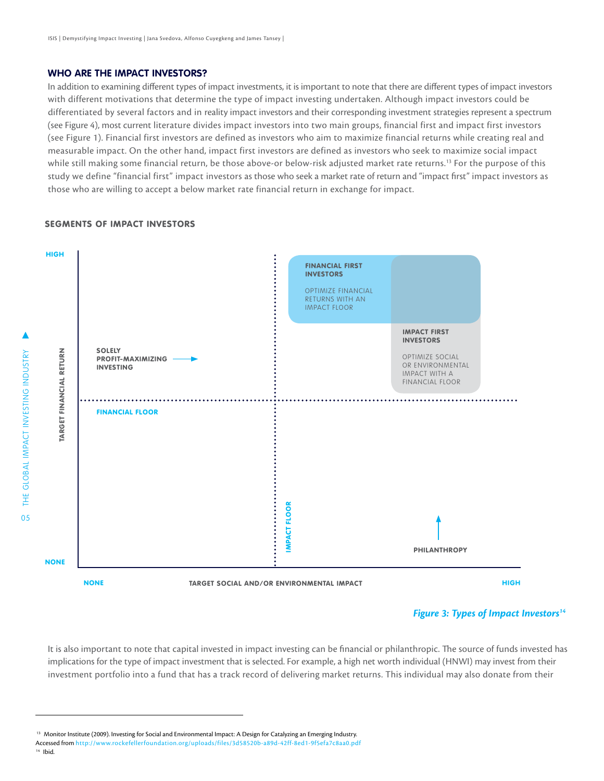#### **WHO ARE THE IMPACT INVESTORS?**

In addition to examining different types of impact investments, it is important to note that there are different types of impact investors with different motivations that determine the type of impact investing undertaken. Although impact investors could be differentiated by several factors and in reality impact investors and their corresponding investment strategies represent a spectrum (see Figure 4), most current literature divides impact investors into two main groups, financial first and impact first investors (see Figure 1). Financial first investors are defined as investors who aim to maximize financial returns while creating real and measurable impact. On the other hand, impact first investors are defined as investors who seek to maximize social impact while still making some financial return, be those above-or below-risk adjusted market rate returns.13 For the purpose of this study we define "financial first" impact investors as those who seek a market rate of return and "impact first" impact investors as those who are willing to accept a below market rate financial return in exchange for impact.

#### SEGMENTS OF IMPACT INVESTORS



#### *Figure 3: Types of Impact Investors14*

It is also important to note that capital invested in impact investing can be financial or philanthropic. The source of funds invested has implications for the type of impact investment that is selected. For example, a high net worth individual (HNWI) may invest from their investment portfolio into a fund that has a track record of delivering market returns. This individual may also donate from their

<sup>&</sup>lt;sup>13</sup> Monitor Institute (2009). Investing for Social and Environmental Impact: A Design for Catalyzing an Emerging Industry.

Accessed from [http://www.rockefellerfoundation.org/uploads/files/3d58520b-a89d-42ff-8ed1-9f5efa7c8aa0.pdf](http://www.rockefellerfoundation.org/uploads/files/3d58520b-a89d-42ff-8ed1 -9f5efa7c8aa0.pdf.)  $14$  Ibid.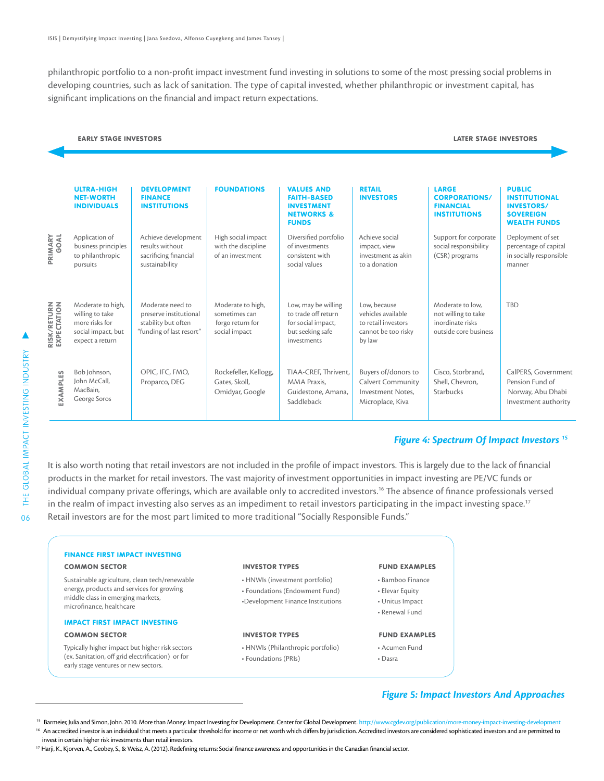philanthropic portfolio to a non-profit impact investment fund investing in solutions to some of the most pressing social problems in developing countries, such as lack of sanitation. The type of capital invested, whether philanthropic or investment capital, has significant implications on the financial and impact return expectations.

#### EARLY STAGE INVESTORS

#### LATER STAGE INVESTORS

|                                    | <b>ULTRA-HIGH</b><br><b>NET-WORTH</b><br><b>INDIVIDUALS</b>                                     | <b>DEVELOPMENT</b><br><b>FINANCE</b><br><b>INSTITUTIONS</b>                                   | <b>FOUNDATIONS</b>                                                      | <b>VALUES AND</b><br><b>FAITH-BASED</b><br><b>INVESTMENT</b><br><b>NETWORKS &amp;</b><br><b>FUNDS</b> | <b>RETAIL</b><br><b>INVESTORS</b>                                                          | <b>LARGE</b><br><b>CORPORATIONS/</b><br><b>FINANCIAL</b><br><b>INSTITUTIONS</b>      | <b>PUBLIC</b><br><b>INSTITUTIONAL</b><br><b>INVESTORS/</b><br><b>SOVEREIGN</b><br><b>WEALTH FUNDS</b> |
|------------------------------------|-------------------------------------------------------------------------------------------------|-----------------------------------------------------------------------------------------------|-------------------------------------------------------------------------|-------------------------------------------------------------------------------------------------------|--------------------------------------------------------------------------------------------|--------------------------------------------------------------------------------------|-------------------------------------------------------------------------------------------------------|
| PRIMARY<br>GOAL                    | Application of<br>business principles<br>to philanthropic<br>pursuits                           | Achieve development<br>results without<br>sacrificing financial<br>sustainability             | High social impact<br>with the discipline<br>of an investment           | Diversified portfolio<br>of investments<br>consistent with<br>social values                           | Achieve social<br>impact, view<br>investment as akin<br>to a donation                      | Support for corporate<br>social responsibility<br>(CSR) programs                     | Deployment of set<br>percentage of capital<br>in socially responsible<br>manner                       |
| <b>RISK/RETURN<br/>EXPECTATION</b> | Moderate to high,<br>willing to take<br>more risks for<br>social impact, but<br>expect a return | Moderate need to<br>preserve institutional<br>stability but often<br>"funding of last resort" | Moderate to high,<br>sometimes can<br>forgo return for<br>social impact | Low, may be willing<br>to trade off return<br>for social impact,<br>but seeking safe<br>investments   | Low. because<br>vehicles available<br>to retail investors<br>cannot be too risky<br>by law | Moderate to low.<br>not willing to take<br>inordinate risks<br>outside core business | <b>TBD</b>                                                                                            |
| <b>EXAMPLES</b>                    | Bob Johnson,<br>John McCall,<br>MacBain.<br>George Soros                                        | OPIC, IFC, FMO,<br>Proparco, DEG                                                              | Rockefeller, Kellogg,<br>Gates, Skoll,<br>Omidyar, Google               | TIAA-CREF, Thrivent,<br>MMA Praxis.<br>Guidestone, Amana,<br>Saddleback                               | Buyers of/donors to<br><b>Calvert Community</b><br>Investment Notes.<br>Microplace, Kiva   | Cisco, Storbrand,<br>Shell, Chevron,<br>Starbucks                                    | CalPERS, Government<br>Pension Fund of<br>Norway, Abu Dhabi<br>Investment authority                   |

#### *Figure 4: Spectrum Of Impact Investors 15*

It is also worth noting that retail investors are not included in the profile of impact investors. This is largely due to the lack of financial products in the market for retail investors. The vast majority of investment opportunities in impact investing are PE/VC funds or individual company private offerings, which are available only to accredited investors.<sup>16</sup> The absence of finance professionals versed in the realm of impact investing also serves as an impediment to retail investors participating in the impact investing space.<sup>17</sup> Retail investors are for the most part limited to more traditional "Socially Responsible Funds."

| <b>FINANCE FIRST IMPACT INVESTING</b>                                                     |                                   |                      |
|-------------------------------------------------------------------------------------------|-----------------------------------|----------------------|
| <b>COMMON SECTOR</b>                                                                      | <b>INVESTOR TYPES</b>             | <b>FUND EXAMPLES</b> |
| Sustainable agriculture, clean tech/renewable                                             | • HNWIs (investment portfolio)    | • Bamboo Finance     |
| energy, products and services for growing                                                 | • Foundations (Endowment Fund)    | • Elevar Equity      |
| middle class in emerging markets,<br>microfinance, healthcare                             | •Development Finance Institutions | • Unitus Impact      |
|                                                                                           |                                   | • Renewal Fund       |
| <b>IMPACT FIRST IMPACT INVESTING</b>                                                      |                                   |                      |
| <b>COMMON SECTOR</b>                                                                      | <b>INVESTOR TYPES</b>             | <b>FUND EXAMPLES</b> |
| Typically higher impact but higher risk sectors                                           | • HNWIs (Philanthropic portfolio) | • Acumen Fund        |
| (ex. Sanitation, off grid electrification) or for<br>early stage ventures or new sectors. | • Foundations (PRIs)              | • Dasra              |

#### *Figure 5: Impact Investors And Approaches*

06

<sup>&</sup>lt;sup>15</sup> Barmeier, Julia and Simon, John. 2010. More than Money: Impact Investing for Development. Center for Global Development. http://www.cgdev.org/publication/more-money-impact-investing-development<br><sup>16</sup> An accredited inve

invest in certain higher risk investments than retail investors.

<sup>&</sup>lt;sup>17</sup> Harji, K., Kjorven, A., Geobey, S., & Weisz, A. (2012). Redefining returns: Social finance awareness and opportunities in the Canadian financial sector.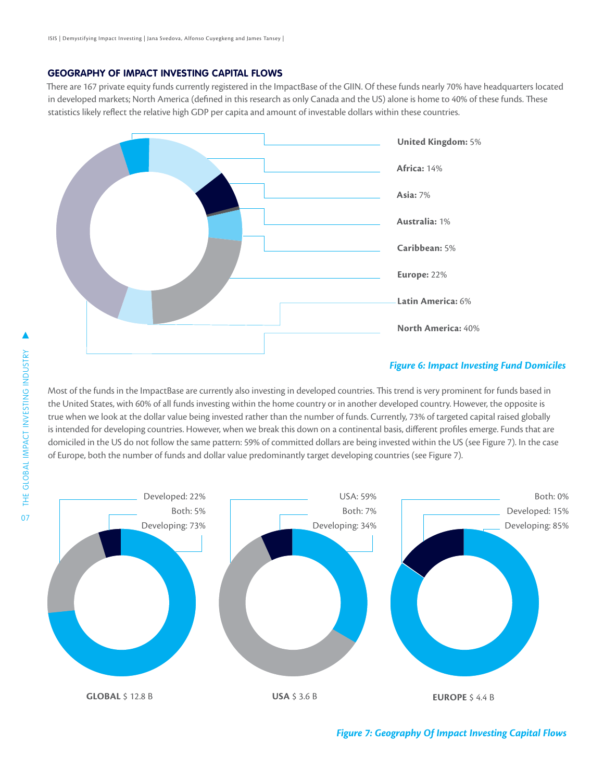#### **GEOGRAPHY OF IMPACT INVESTING CAPITAL FLOWS**

There are 167 private equity funds currently registered in the ImpactBase of the GIIN. Of these funds nearly 70% have headquarters located in developed markets; North America (defined in this research as only Canada and the US) alone is home to 40% of these funds. These statistics likely reflect the relative high GDP per capita and amount of investable dollars within these countries.



#### *Figure 6: Impact Investing Fund Domiciles*

Most of the funds in the ImpactBase are currently also investing in developed countries. This trend is very prominent for funds based in the United States, with 60% of all funds investing within the home country or in another developed country. However, the opposite is true when we look at the dollar value being invested rather than the number of funds. Currently, 73% of targeted capital raised globally is intended for developing countries. However, when we break this down on a continental basis, different profiles emerge. Funds that are domiciled in the US do not follow the same pattern: 59% of committed dollars are being invested within the US (see Figure 7). In the case of Europe, both the number of funds and dollar value predominantly target developing countries (see Figure 7).



*Figure 7: Geography Of Impact Investing Capital Flows*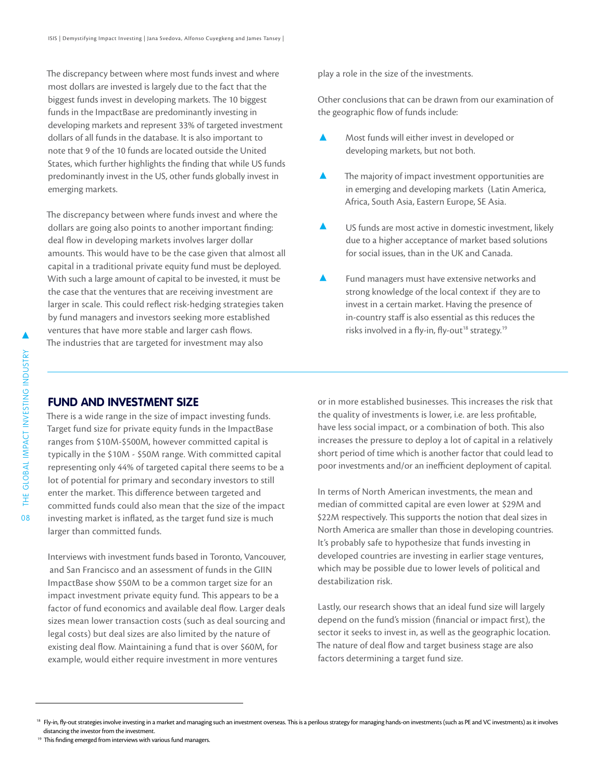The discrepancy between where most funds invest and where most dollars are invested is largely due to the fact that the biggest funds invest in developing markets. The 10 biggest funds in the ImpactBase are predominantly investing in developing markets and represent 33% of targeted investment dollars of all funds in the database. It is also important to note that 9 of the 10 funds are located outside the United States, which further highlights the finding that while US funds predominantly invest in the US, other funds globally invest in emerging markets.

The discrepancy between where funds invest and where the dollars are going also points to another important finding: deal flow in developing markets involves larger dollar amounts. This would have to be the case given that almost all capital in a traditional private equity fund must be deployed. With such a large amount of capital to be invested, it must be the case that the ventures that are receiving investment are larger in scale. This could reflect risk-hedging strategies taken by fund managers and investors seeking more established ventures that have more stable and larger cash flows. The industries that are targeted for investment may also

play a role in the size of the investments.

Other conclusions that can be drawn from our examination of the geographic flow of funds include:

- Most funds will either invest in developed or developing markets, but not both.
- $\blacktriangle$ The majority of impact investment opportunities are in emerging and developing markets (Latin America, Africa, South Asia, Eastern Europe, SE Asia.
- US funds are most active in domestic investment, likely due to a higher acceptance of market based solutions for social issues, than in the UK and Canada.
- Α Fund managers must have extensive networks and strong knowledge of the local context if they are to invest in a certain market. Having the presence of in-country staff is also essential as this reduces the risks involved in a fly-in, fly-out<sup>18</sup> strategy.<sup>19</sup>

#### **FUND AND INVESTMENT SIZE**

There is a wide range in the size of impact investing funds. Target fund size for private equity funds in the ImpactBase ranges from \$10M-\$500M, however committed capital is typically in the \$10M - \$50M range. With committed capital representing only 44% of targeted capital there seems to be a lot of potential for primary and secondary investors to still enter the market. This difference between targeted and committed funds could also mean that the size of the impact investing market is inflated, as the target fund size is much larger than committed funds.

Interviews with investment funds based in Toronto, Vancouver, and San Francisco and an assessment of funds in the GIIN ImpactBase show \$50M to be a common target size for an impact investment private equity fund. This appears to be a factor of fund economics and available deal flow. Larger deals sizes mean lower transaction costs (such as deal sourcing and legal costs) but deal sizes are also limited by the nature of existing deal flow. Maintaining a fund that is over \$60M, for example, would either require investment in more ventures

or in more established businesses. This increases the risk that the quality of investments is lower, i.e. are less profitable, have less social impact, or a combination of both. This also increases the pressure to deploy a lot of capital in a relatively short period of time which is another factor that could lead to poor investments and/or an inefficient deployment of capital.

In terms of North American investments, the mean and median of committed capital are even lower at \$29M and \$22M respectively. This supports the notion that deal sizes in North America are smaller than those in developing countries. It's probably safe to hypothesize that funds investing in developed countries are investing in earlier stage ventures, which may be possible due to lower levels of political and destabilization risk.

Lastly, our research shows that an ideal fund size will largely depend on the fund's mission (financial or impact first), the sector it seeks to invest in, as well as the geographic location. The nature of deal flow and target business stage are also factors determining a target fund size.

<sup>&</sup>lt;sup>18</sup> Fly-in, fly-out strategies involve investing in a market and managing such an investment overseas. This is a perilous strategy for managing hands-on investments (such as PE and VC investments) as it involves distancing the investor from the investment.

<sup>&</sup>lt;sup>19</sup> This finding emerged from interviews with various fund managers.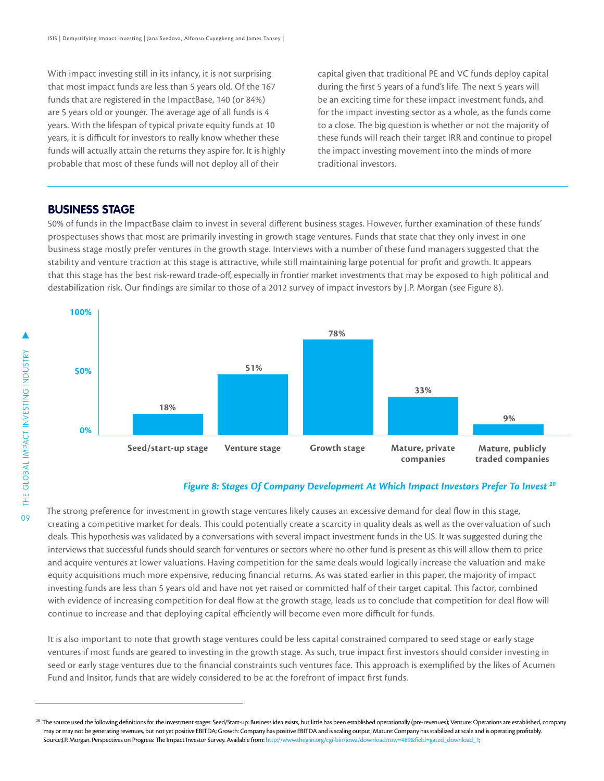With impact investing still in its infancy, it is not surprising that most impact funds are less than 5 years old. Of the 167 funds that are registered in the ImpactBase, 140 (or 84%) are 5 years old or younger. The average age of all funds is 4 years. With the lifespan of typical private equity funds at 10 years, it is difficult for investors to really know whether these funds will actually attain the returns they aspire for. It is highly probable that most of these funds will not deploy all of their

capital given that traditional PE and VC funds deploy capital during the first 5 years of a fund's life. The next 5 years will be an exciting time for these impact investment funds, and for the impact investing sector as a whole, as the funds come to a close. The big question is whether or not the majority of these funds will reach their target IRR and continue to propel the impact investing movement into the minds of more traditional investors.

#### **BUSINESS STAGE**

50% of funds in the ImpactBase claim to invest in several different business stages. However, further examination of these funds' prospectuses shows that most are primarily investing in growth stage ventures. Funds that state that they only invest in one business stage mostly prefer ventures in the growth stage. Interviews with a number of these fund managers suggested that the stability and venture traction at this stage is attractive, while still maintaining large potential for profit and growth. It appears that this stage has the best risk-reward trade-off, especially in frontier market investments that may be exposed to high political and destabilization risk. Our findings are similar to those of a 2012 survey of impact investors by J.P. Morgan (see Figure 8).



#### *Figure 8: Stages Of Company Development At Which Impact Investors Prefer To Invest 20*

The strong preference for investment in growth stage ventures likely causes an excessive demand for deal flow in this stage, creating a competitive market for deals. This could potentially create a scarcity in quality deals as well as the overvaluation of such deals. This hypothesis was validated by a conversations with several impact investment funds in the US. It was suggested during the interviews that successful funds should search for ventures or sectors where no other fund is present as this will allow them to price and acquire ventures at lower valuations. Having competition for the same deals would logically increase the valuation and make equity acquisitions much more expensive, reducing financial returns. As was stated earlier in this paper, the majority of impact investing funds are less than 5 years old and have not yet raised or committed half of their target capital. This factor, combined with evidence of increasing competition for deal flow at the growth stage, leads us to conclude that competition for deal flow will continue to increase and that deploying capital efficiently will become even more difficult for funds.

It is also important to note that growth stage ventures could be less capital constrained compared to seed stage or early stage ventures if most funds are geared to investing in the growth stage. As such, true impact first investors should consider investing in seed or early stage ventures due to the financial constraints such ventures face. This approach is exemplified by the likes of Acumen Fund and Insitor, funds that are widely considered to be at the forefront of impact first funds.

<sup>&</sup>lt;sup>20</sup> The source used the following definitions for the investment stages: Seed/Start-up: Business idea exists, but little has been established operationally (pre-revenues); Venture: Operations are established, company may or may not be generating revenues, but not yet positive EBITDA; Growth: Company has positive EBITDA and is scaling output; Mature: Company has stabilized at scale and is operating profitably. Source:J.P. Morgan. Perspectives on Progress: The Impact Investor Survey. Available from: [http://www.thegiin.org/cgi-bin/iowa/download?row=489&field=gated\\_download\\_1;](http://www.thegiin.org/cgi-bin/iowa/download?row=489&field=gated_download_1)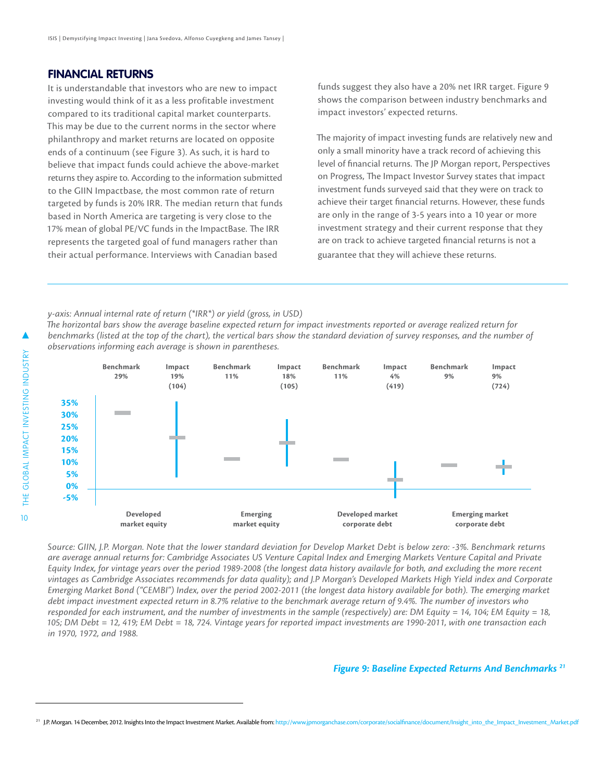#### **FINANCIAL RETURNS**

It is understandable that investors who are new to impact investing would think of it as a less profitable investment compared to its traditional capital market counterparts. This may be due to the current norms in the sector where philanthropy and market returns are located on opposite ends of a continuum (see Figure 3). As such, it is hard to believe that impact funds could achieve the above-market returns they aspire to. According to the information submitted to the GIIN Impactbase, the most common rate of return targeted by funds is 20% IRR. The median return that funds based in North America are targeting is very close to the 17% mean of global PE/VC funds in the ImpactBase. The IRR represents the targeted goal of fund managers rather than their actual performance. Interviews with Canadian based

funds suggest they also have a 20% net IRR target. Figure 9 shows the comparison between industry benchmarks and impact investors' expected returns.

The majority of impact investing funds are relatively new and only a small minority have a track record of achieving this level of financial returns. The JP Morgan report, Perspectives on Progress, The Impact Investor Survey states that impact investment funds surveyed said that they were on track to achieve their target financial returns. However, these funds are only in the range of 3-5 years into a 10 year or more investment strategy and their current response that they are on track to achieve targeted financial returns is not a guarantee that they will achieve these returns.

*y-axis: Annual internal rate of return (\*IRR\*) or yield (gross, in USD) The horizontal bars show the average baseline expected return for impact investments reported or average realized return for benchmarks (listed at the top of the chart), the vertical bars show the standard deviation of survey responses, and the number of observations informing each average is shown in parentheses.*



*Source: GIIN, J.P. Morgan. Note that the lower standard deviation for Develop Market Debt is below zero: -3%. Benchmark returns are average annual returns for: Cambridge Associates US Venture Capital Index and Emerging Markets Venture Capital and Private Equity Index, for vintage years over the period 1989-2008 (the longest data history availavle for both, and excluding the more recent vintages as Cambridge Associates recommends for data quality); and J.P Morgan's Developed Markets High Yield index and Corporate Emerging Market Bond ("CEMBI") Index, over the period 2002-2011 (the longest data history available for both). The emerging market debt impact investment expected return in 8.7% relative to the benchmark average return of 9.4%. The number of investors who responded for each instrument, and the number of investments in the sample (respectively) are: DM Equity = 14, 104; EM Equity = 18, 105; DM Debt = 12, 419; EM Debt = 18, 724. Vintage years for reported impact investments are 1990-2011, with one transaction each in 1970, 1972, and 1988.*

#### *Figure 9: Baseline Expected Returns And Benchmarks 21*

<sup>21</sup> J.P. Morgan. 14 December, 2012. Insights Into the Impact Investment Market. Available from: [http://www.jpmorganchase.com/corporate/socialfinance/document/Insight\\_into\\_the\\_Impact\\_Investment\\_Market.pdf]( http://www.jpmorganchase.com/corporate/socialfinance/document/Insight_into_the_Impact_Investment_Market.pdf)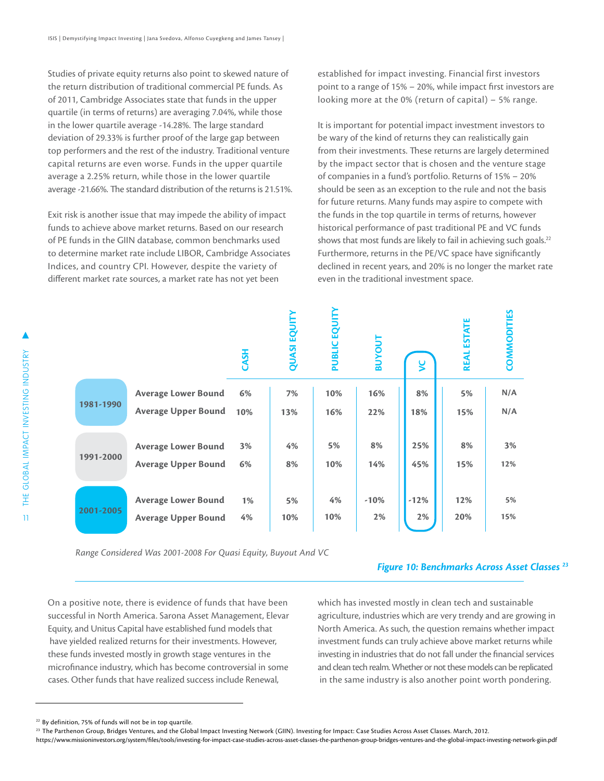Studies of private equity returns also point to skewed nature of the return distribution of traditional commercial PE funds. As of 2011, Cambridge Associates state that funds in the upper quartile (in terms of returns) are averaging 7.04%, while those in the lower quartile average -14.28%. The large standard deviation of 29.33% is further proof of the large gap between top performers and the rest of the industry. Traditional venture capital returns are even worse. Funds in the upper quartile average a 2.25% return, while those in the lower quartile average -21.66%. The standard distribution of the returns is 21.51%.

Exit risk is another issue that may impede the ability of impact funds to achieve above market returns. Based on our research of PE funds in the GIIN database, common benchmarks used to determine market rate include LIBOR, Cambridge Associates Indices, and country CPI. However, despite the variety of different market rate sources, a market rate has not yet been

established for impact investing. Financial first investors point to a range of 15% – 20%, while impact first investors are looking more at the 0% (return of capital) – 5% range.

It is important for potential impact investment investors to be wary of the kind of returns they can realistically gain from their investments. These returns are largely determined by the impact sector that is chosen and the venture stage of companies in a fund's portfolio. Returns of 15% – 20% should be seen as an exception to the rule and not the basis for future returns. Many funds may aspire to compete with the funds in the top quartile in terms of returns, however historical performance of past traditional PE and VC funds shows that most funds are likely to fail in achieving such goals. $22$ Furthermore, returns in the PE/VC space have significantly declined in recent years, and 20% is no longer the market rate even in the traditional investment space.

|                                                                |                            | CASH | <b>QUASI EQUI</b> | PUBLIC EQUIT | <b>NOANB</b> | ४      | <b>ESTATE</b><br><b>REAL</b> | <b>COMMODITIES</b> |
|----------------------------------------------------------------|----------------------------|------|-------------------|--------------|--------------|--------|------------------------------|--------------------|
|                                                                | <b>Average Lower Bound</b> | 6%   | 7%                | 10%          | 16%          | 8%     | 5%                           | N/A                |
| 1981-1990                                                      | <b>Average Upper Bound</b> | 10%  | 13%               | 16%          | 22%          | 18%    | 15%                          | N/A                |
|                                                                | <b>Average Lower Bound</b> | 3%   | 4%                | 5%           | 8%           | 25%    | 8%                           | 3%                 |
| 1991-2000                                                      | <b>Average Upper Bound</b> | 6%   | 8%                | 10%          | 14%          | 45%    | 15%                          | 12%                |
|                                                                | <b>Average Lower Bound</b> | 1%   | 5%                | 4%           | $-10%$       | $-12%$ | 12%                          | 5%                 |
| 2001-2005                                                      | <b>Average Upper Bound</b> | 4%   | 10%               | 10%          | 2%           | 2%     | 20%                          | 15%                |
| Range Considered Was 2001-2008 For Quasi Equity, Buyout And VC |                            |      |                   |              |              |        |                              |                    |

#### *Figure 10: Benchmarks Across Asset Classes 23*

On a positive note, there is evidence of funds that have been successful in North America. Sarona Asset Management, Elevar Equity, and Unitus Capital have established fund models that have yielded realized returns for their investments. However, these funds invested mostly in growth stage ventures in the microfinance industry, which has become controversial in some cases. Other funds that have realized success include Renewal,

which has invested mostly in clean tech and sustainable agriculture, industries which are very trendy and are growing in North America. As such, the question remains whether impact investment funds can truly achieve above market returns while investing in industries that do not fall under the financial services and clean tech realm. Whether or not these models can be replicated in the same industry is also another point worth pondering.

<sup>&</sup>lt;sup>22</sup> By definition, 75% of funds will not be in top quartile.

<sup>&</sup>lt;sup>23</sup> The Parthenon Group, Bridges Ventures, and the Global Impact Investing Network (GIIN). Investing for Impact: Case Studies Across Asset Classes. March, 2012.

<https://www.missioninvestors.org/system/files/tools/investing-for-impact-case-studies-across-asset-classes-the-parthenon-group-bridges-ventures-and-the-global-impact-investing-network-giin.pdf>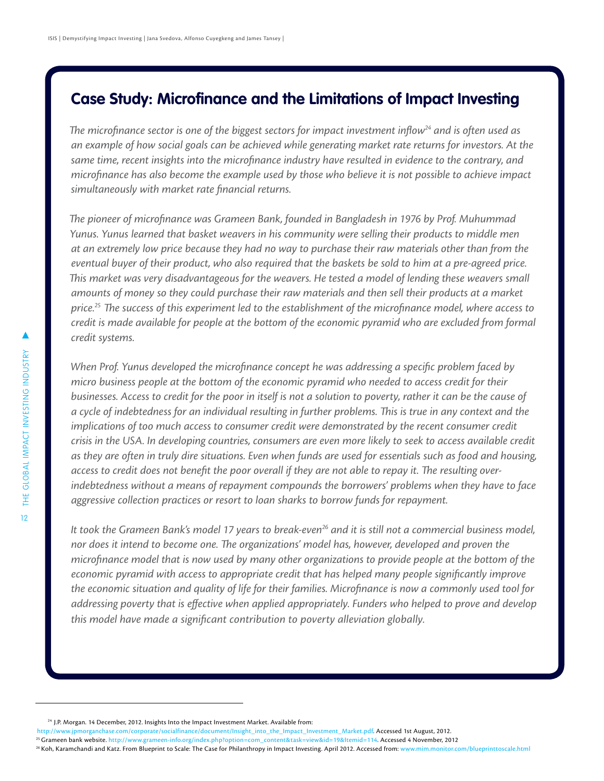### **Case Study: Microfinance and the Limitations of Impact Investing**

The microfinance sector is one of the biggest sectors for impact investment inflow<sup>24</sup> and is often used as *an example of how social goals can be achieved while generating market rate returns for investors. At the same time, recent insights into the microfinance industry have resulted in evidence to the contrary, and microfinance has also become the example used by those who believe it is not possible to achieve impact simultaneously with market rate financial returns.* 

*The pioneer of microfinance was Grameen Bank, founded in Bangladesh in 1976 by Prof. Muhummad Yunus. Yunus learned that basket weavers in his community were selling their products to middle men at an extremely low price because they had no way to purchase their raw materials other than from the eventual buyer of their product, who also required that the baskets be sold to him at a pre-agreed price. This market was very disadvantageous for the weavers. He tested a model of lending these weavers small amounts of money so they could purchase their raw materials and then sell their products at a market price.25 The success of this experiment led to the establishment of the microfinance model, where access to credit is made available for people at the bottom of the economic pyramid who are excluded from formal credit systems.* 

*When Prof. Yunus developed the microfinance concept he was addressing a specific problem faced by micro business people at the bottom of the economic pyramid who needed to access credit for their businesses. Access to credit for the poor in itself is not a solution to poverty, rather it can be the cause of a cycle of indebtedness for an individual resulting in further problems. This is true in any context and the implications of too much access to consumer credit were demonstrated by the recent consumer credit crisis in the USA. In developing countries, consumers are even more likely to seek to access available credit as they are often in truly dire situations. Even when funds are used for essentials such as food and housing, access to credit does not benefit the poor overall if they are not able to repay it. The resulting overindebtedness without a means of repayment compounds the borrowers' problems when they have to face aggressive collection practices or resort to loan sharks to borrow funds for repayment.* 

It took the Grameen Bank's model 17 years to break-even<sup>26</sup> and it is still not a commercial business model, *nor does it intend to become one. The organizations' model has, however, developed and proven the microfinance model that is now used by many other organizations to provide people at the bottom of the economic pyramid with access to appropriate credit that has helped many people significantly improve the economic situation and quality of life for their families. Microfinance is now a commonly used tool for addressing poverty that is effective when applied appropriately. Funders who helped to prove and develop this model have made a significant contribution to poverty alleviation globally.* 

[http://www.jpmorganchase.com/corporate/socialfinance/document/Insight\\_into\\_the\\_Impact\\_Investment\\_Market.pdf](http://www.jpmorganchase.com/corporate/socialfinance/document/Insight_into_the_Impact_Investment_Market.pdf). Accessed 1st August, 2012.

<sup>&</sup>lt;sup>24</sup> J.P. Morgan. 14 December, 2012. Insights Into the Impact Investment Market. Available from:

<sup>&</sup>lt;sup>25</sup> Grameen bank website. http://www.grameen-info.org/index.php?option=com\_content&task=view&id=19&Itemid=114<mark>. Accessed 4 November, 2012</mark><br><sup>26</sup> Koh, Karamchandi and Katz. From Blueprint to Scale: The Case for Philanthropy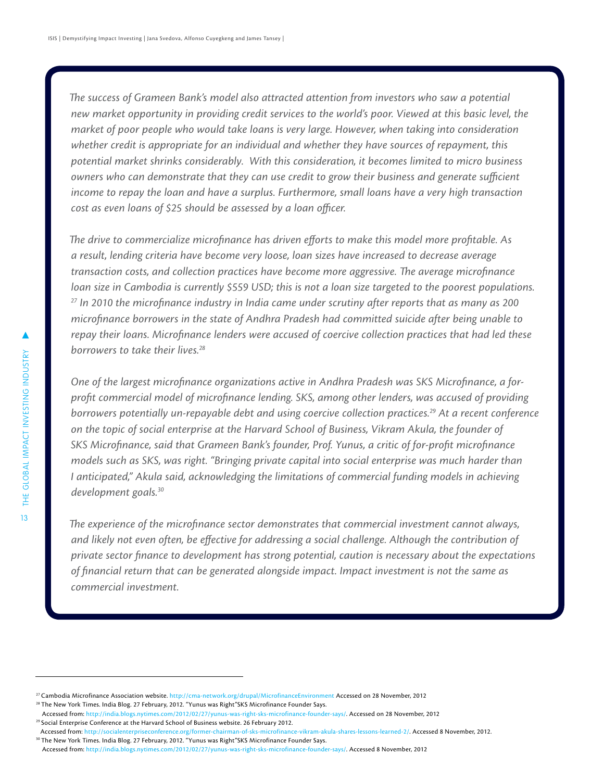*The success of Grameen Bank's model also attracted attention from investors who saw a potential new market opportunity in providing credit services to the world's poor. Viewed at this basic level, the market of poor people who would take loans is very large. However, when taking into consideration whether credit is appropriate for an individual and whether they have sources of repayment, this potential market shrinks considerably. With this consideration, it becomes limited to micro business owners who can demonstrate that they can use credit to grow their business and generate sufficient income to repay the loan and have a surplus. Furthermore, small loans have a very high transaction cost as even loans of \$25 should be assessed by a loan officer.* 

*The drive to commercialize microfinance has driven efforts to make this model more profitable. As a result, lending criteria have become very loose, loan sizes have increased to decrease average transaction costs, and collection practices have become more aggressive. The average microfinance loan size in Cambodia is currently \$559 USD; this is not a loan size targeted to the poorest populations. 27 In 2010 the microfinance industry in India came under scrutiny after reports that as many as 200 microfinance borrowers in the state of Andhra Pradesh had committed suicide after being unable to repay their loans. Microfinance lenders were accused of coercive collection practices that had led these borrowers to take their lives.28*

*One of the largest microfinance organizations active in Andhra Pradesh was SKS Microfinance, a forprofit commercial model of microfinance lending. SKS, among other lenders, was accused of providing borrowers potentially un-repayable debt and using coercive collection practices.29 At a recent conference on the topic of social enterprise at the Harvard School of Business, Vikram Akula, the founder of SKS Microfinance, said that Grameen Bank's founder, Prof. Yunus, a critic of for-profit microfinance models such as SKS, was right. "Bringing private capital into social enterprise was much harder than I anticipated," Akula said, acknowledging the limitations of commercial funding models in achieving development goals.30*

*The experience of the microfinance sector demonstrates that commercial investment cannot always, and likely not even often, be effective for addressing a social challenge. Although the contribution of private sector finance to development has strong potential, caution is necessary about the expectations of financial return that can be generated alongside impact. Impact investment is not the same as commercial investment.*

<sup>&</sup>lt;sup>27</sup> Cambodia Microfinance Association website. http://cma-network.org/drupal/MicrofinanceEnvironment Accessed on 28 November, 2012<br><sup>28</sup> The New York Times. India Blog. 27 February, 2012. "Yunus was Right"SKS Microfinance

Accessed from:<http://india.blogs.nytimes.com/2012/02/27/yunus-was-right-sks-microfinance-founder-says/>. Accessed on 28 November, 2012 <sup>29</sup> Social Enterprise Conference at the Harvard School of Business website. 26 February 2012.

Accessed from: [http://socialenterpriseconference.org/former-chairman-of-sks-microfinance-vikram-akula-shares-lessons-learned-2/.](Social Enterprise Conference at the Harvard School of Business website. 26 February 2012. Accessed from:  http://socialenterpriseconference.org/former-chairman-of-sks-microfinance-vikram-akula-shares-lessons-learned-2/) Accessed 8 November, 2012. <sup>30</sup> The New York Times. India Blog. 27 February, 2012. "Yunus was Right"SKS Microfinance Founder Says.

Accessed from: [http://india.blogs.nytimes.com/2012/02/27/yunus-was-right-sks-microfinance-founder-says/](The New York Times. India Blog. 27 February, 2012. �Yunus was Right�SKS Microfinance Founder Says. Accessed from: http://india.blogs.nytimes.com/2012/02/27/yunus-was-right-sks-microfinance-founder-says/). Accessed 8 November, 2012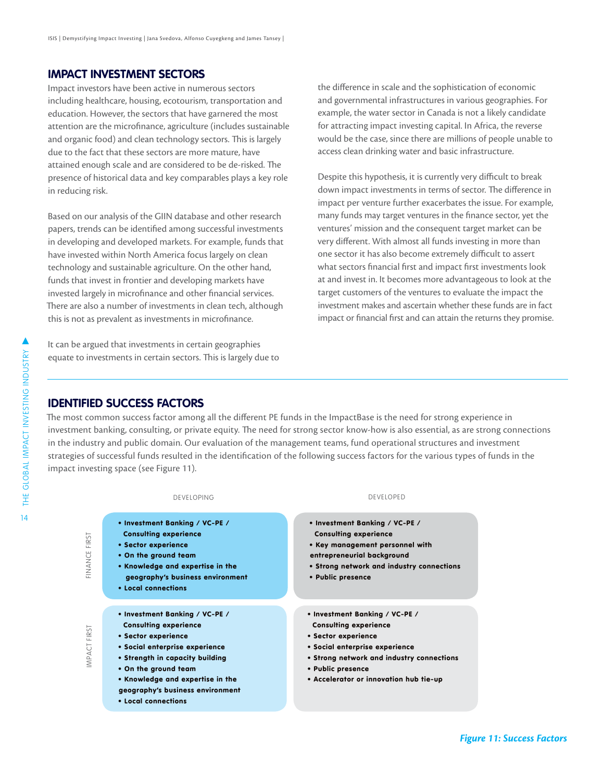#### **IMPACT INVESTMENT SECTORS**

Impact investors have been active in numerous sectors including healthcare, housing, ecotourism, transportation and education. However, the sectors that have garnered the most attention are the microfinance, agriculture (includes sustainable and organic food) and clean technology sectors. This is largely due to the fact that these sectors are more mature, have attained enough scale and are considered to be de-risked. The presence of historical data and key comparables plays a key role in reducing risk.

Based on our analysis of the GIIN database and other research papers, trends can be identified among successful investments in developing and developed markets. For example, funds that have invested within North America focus largely on clean technology and sustainable agriculture. On the other hand, funds that invest in frontier and developing markets have invested largely in microfinance and other financial services. There are also a number of investments in clean tech, although this is not as prevalent as investments in microfinance.

It can be argued that investments in certain geographies equate to investments in certain sectors. This is largely due to the difference in scale and the sophistication of economic and governmental infrastructures in various geographies. For example, the water sector in Canada is not a likely candidate for attracting impact investing capital. In Africa, the reverse would be the case, since there are millions of people unable to access clean drinking water and basic infrastructure.

Despite this hypothesis, it is currently very difficult to break down impact investments in terms of sector. The difference in impact per venture further exacerbates the issue. For example, many funds may target ventures in the finance sector, yet the ventures' mission and the consequent target market can be very different. With almost all funds investing in more than one sector it has also become extremely difficult to assert what sectors financial first and impact first investments look at and invest in. It becomes more advantageous to look at the target customers of the ventures to evaluate the impact the investment makes and ascertain whether these funds are in fact impact or financial first and can attain the returns they promise.

#### **IDENTIFIED SUCCESS FACTORS**

The most common success factor among all the different PE funds in the ImpactBase is the need for strong experience in investment banking, consulting, or private equity. The need for strong sector know-how is also essential, as are strong connections in the industry and public domain. Our evaluation of the management teams, fund operational structures and investment strategies of successful funds resulted in the identification of the following success factors for the various types of funds in the impact investing space (see Figure 11).



*Figure 11: Success Factors*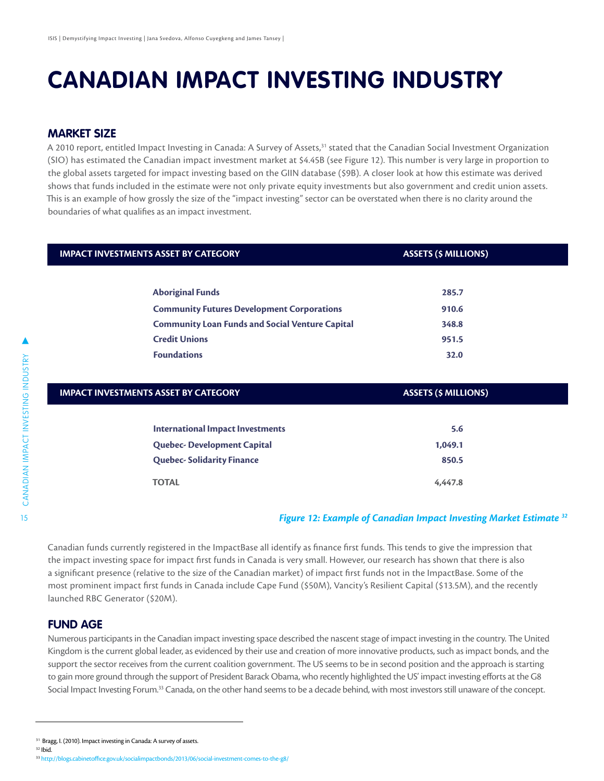### **CANADIAN IMPACT INVESTING INDUSTRY**

#### **MARKET SIZE**

A 2010 report, entitled Impact Investing in Canada: A Survey of Assets,<sup>31</sup> stated that the Canadian Social Investment Organization (SIO) has estimated the Canadian impact investment market at \$4.45B (see Figure 12). This number is very large in proportion to the global assets targeted for impact investing based on the GIIN database (\$9B). A closer look at how this estimate was derived shows that funds included in the estimate were not only private equity investments but also government and credit union assets. This is an example of how grossly the size of the "impact investing" sector can be overstated when there is no clarity around the boundaries of what qualifies as an impact investment.

| <b>IMPACT INVESTMENTS ASSET BY CATEGORY</b>            | <b>ASSETS (\$ MILLIONS)</b> |  |  |
|--------------------------------------------------------|-----------------------------|--|--|
|                                                        |                             |  |  |
| <b>Aboriginal Funds</b>                                | 285.7                       |  |  |
| <b>Community Futures Development Corporations</b>      | 910.6                       |  |  |
| <b>Community Loan Funds and Social Venture Capital</b> | 348.8                       |  |  |
| <b>Credit Unions</b>                                   | 951.5                       |  |  |
| <b>Foundations</b>                                     | 32.0                        |  |  |

| <b>IMPACT INVESTMENTS ASSET BY CATEGORY</b> | <b>ASSETS (\$ MILLIONS)</b> |  |  |  |
|---------------------------------------------|-----------------------------|--|--|--|
|                                             |                             |  |  |  |
| <b>International Impact Investments</b>     | 5.6                         |  |  |  |
| <b>Quebec-Development Capital</b>           | 1,049.1                     |  |  |  |
| <b>Quebec-Solidarity Finance</b>            | 850.5                       |  |  |  |
| <b>TOTAL</b>                                | 4.447.8                     |  |  |  |

#### *Figure 12: Example of Canadian Impact Investing Market Estimate 32*

Canadian funds currently registered in the ImpactBase all identify as finance first funds. This tends to give the impression that the impact investing space for impact first funds in Canada is very small. However, our research has shown that there is also a significant presence (relative to the size of the Canadian market) of impact first funds not in the ImpactBase. Some of the most prominent impact first funds in Canada include Cape Fund (\$50M), Vancity's Resilient Capital (\$13.5M), and the recently launched RBC Generator (\$20M).

#### **FUND AGE**

Numerous participants in the Canadian impact investing space described the nascent stage of impact investing in the country. The United Kingdom is the current global leader, as evidenced by their use and creation of more innovative products, such as impact bonds, and the support the sector receives from the current coalition government. The US seems to be in second position and the approach is starting to gain more ground through the support of President Barack Obama, who recently highlighted the US' impact investing efforts at the G8 Social Impact Investing Forum.<sup>33</sup> Canada, on the other hand seems to be a decade behind, with most investors still unaware of the concept.

<sup>&</sup>lt;sup>31</sup> Bragg, I. (2010). Impact investing in Canada: A survey of assets.

 $32$  Ibid.

<sup>33</sup> [http://blogs.cabinetoffice.gov.uk/socialimpactbonds/2013/06/social-investment-comes-to-the-g8/](http://blogs.cabinetoffice.gov.uk/socialimpactbonds/2013/06/social-investment-comes-to-the-g8/ )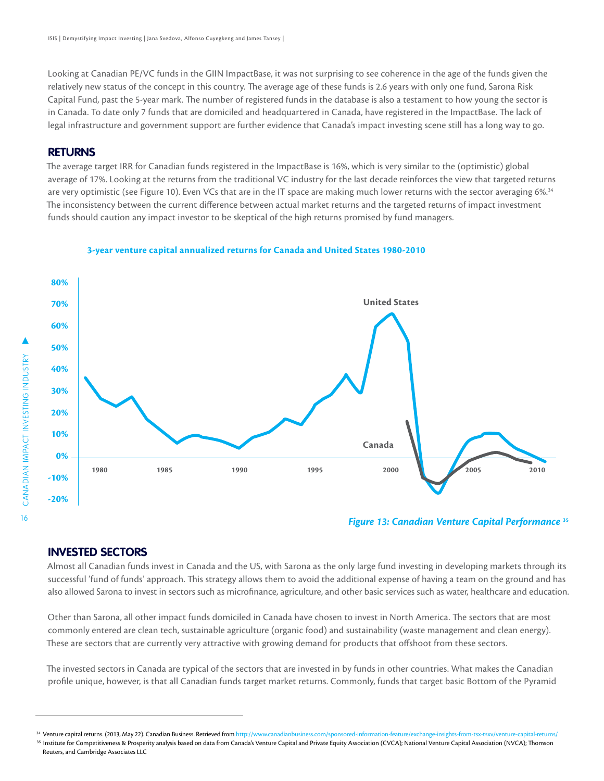Looking at Canadian PE/VC funds in the GIIN ImpactBase, it was not surprising to see coherence in the age of the funds given the relatively new status of the concept in this country. The average age of these funds is 2.6 years with only one fund, Sarona Risk Capital Fund, past the 5-year mark. The number of registered funds in the database is also a testament to how young the sector is in Canada. To date only 7 funds that are domiciled and headquartered in Canada, have registered in the ImpactBase. The lack of legal infrastructure and government support are further evidence that Canada's impact investing scene still has a long way to go.

#### **RETURNS**

The average target IRR for Canadian funds registered in the ImpactBase is 16%, which is very similar to the (optimistic) global average of 17%. Looking at the returns from the traditional VC industry for the last decade reinforces the view that targeted returns are very optimistic (see Figure 10). Even VCs that are in the IT space are making much lower returns with the sector averaging 6%.<sup>34</sup> The inconsistency between the current difference between actual market returns and the targeted returns of impact investment funds should caution any impact investor to be skeptical of the high returns promised by fund managers.



#### **3-year venture capital annualized returns for Canada and United States 1980-2010**

*Figure 13: Canadian Venture Capital Performance* **<sup>35</sup>**

#### **INVESTED SECTORS**

Almost all Canadian funds invest in Canada and the US, with Sarona as the only large fund investing in developing markets through its successful 'fund of funds' approach. This strategy allows them to avoid the additional expense of having a team on the ground and has also allowed Sarona to invest in sectors such as microfinance, agriculture, and other basic services such as water, healthcare and education.

Other than Sarona, all other impact funds domiciled in Canada have chosen to invest in North America. The sectors that are most commonly entered are clean tech, sustainable agriculture (organic food) and sustainability (waste management and clean energy). These are sectors that are currently very attractive with growing demand for products that offshoot from these sectors.

The invested sectors in Canada are typical of the sectors that are invested in by funds in other countries. What makes the Canadian profile unique, however, is that all Canadian funds target market returns. Commonly, funds that target basic Bottom of the Pyramid

Venture capital returns. (2013, May 22). Canadian Business. Retrieved from [http://www.canadianbusiness.com/sponsored-information-feature/exchange-insights-from-tsx-tsxv/venture-capital-returns/](http://www.canadianbusiness.com/sponsored-information-feature/exchange-insights-from-tsx-tsxv/venture-capital-returns/ )

<sup>&</sup>lt;sup>35</sup> Institute for Competitiveness & Prosperity analysis based on data from Canada's Venture Capital Association (CVCA); National Venture Capital Association (NVCA); Thomson Reuters, and Cambridge Associates LLC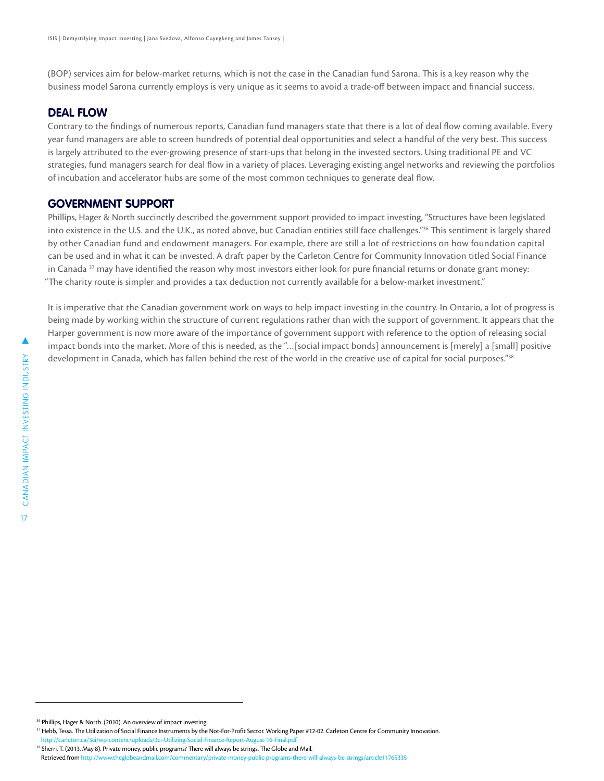(BOP) services aim for below-market returns, which is not the case in the Canadian fund Sarona. This is a key reason why the business model Sarona currently employs is very unique as it seems to avoid a trade-off between impact and financial success.

#### **DEAL FLOW**

Contrary to the findings of numerous reports, Canadian fund managers state that there is a lot of deal flow coming available. Every year fund managers are able to screen hundreds of potential deal opportunities and select a handful of the very best. This success is largely attributed to the ever-growing presence of start-ups that belong in the invested sectors. Using traditional PE and VC strategies, fund managers search for deal flow in a variety of places. Leveraging existing angel networks and reviewing the portfolios of incubation and accelerator hubs are some of the most common techniques to generate deal flow.

#### **GOVERNMENT SUPPORT**

Phillips, Hager & North succinctly described the government support provided to impact investing, "Structures have been legislated into existence in the U.S. and the U.K., as noted above, but Canadian entities still face challenges."36 This sentiment is largely shared by other Canadian fund and endowment managers. For example, there are still a lot of restrictions on how foundation capital can be used and in what it can be invested. A draft paper by the Carleton Centre for Community Innovation titled Social Finance in Canada <sup>37</sup> may have identified the reason why most investors either look for pure financial returns or donate grant money: "The charity route is simpler and provides a tax deduction not currently available for a below-market investment."

It is imperative that the Canadian government work on ways to help impact investing in the country. In Ontario, a lot of progress is being made by working within the structure of current regulations rather than with the support of government. It appears that the Harper government is now more aware of the importance of government support with reference to the option of releasing social impact bonds into the market. More of this is needed, as the "…[social impact bonds] announcement is [merely] a [small] positive development in Canada, which has fallen behind the rest of the world in the creative use of capital for social purposes."<sup>38</sup>

 <sup>36</sup> Phillips, Hager & North. (2010). An overview of impact investing.

<sup>&</sup>lt;sup>37</sup> Hebb, Tessa. The Utilization of Social Finance Instruments by the Not-For-Profit Sector. Working Paper #12-02. Carleton Centre for Community Innovation. [http://carleton.ca/3ci/wp-content/uploads/3ci-Utilizing-Social-Finance-Report-August-16-Final.pdf](http://carleton.ca/3ci/wp-content/uploads/3ci-Utilizing-Social-Finance-Report-August-16-Final.pdf )

<sup>38</sup> Sherri, T. (2013, May 8). Private money, public programs? There will always be strings. The Globe and Mail. Retrieved from<http://www.theglobeandmail.com/commentary/private-money-public-programs-there-will-always-be-strings/article11765335>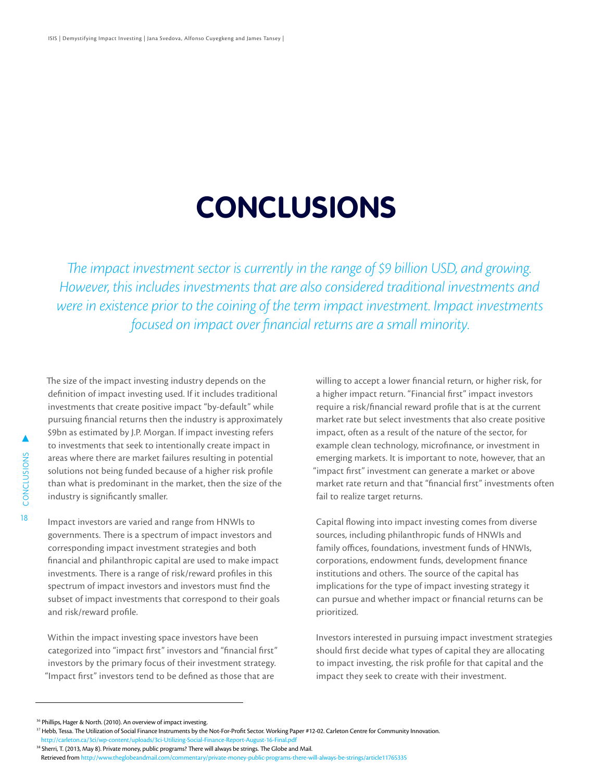# **CONCLUSIONS**

*The impact investment sector is currently in the range of \$9 billion USD, and growing. However, this includes investments that are also considered traditional investments and were in existence prior to the coining of the term impact investment. Impact investments focused on impact over financial returns are a small minority.* 

The size of the impact investing industry depends on the definition of impact investing used. If it includes traditional investments that create positive impact "by-default" while pursuing financial returns then the industry is approximately \$9bn as estimated by J.P. Morgan. If impact investing refers to investments that seek to intentionally create impact in areas where there are market failures resulting in potential solutions not being funded because of a higher risk profile than what is predominant in the market, then the size of the industry is significantly smaller.

Impact investors are varied and range from HNWIs to governments. There is a spectrum of impact investors and corresponding impact investment strategies and both financial and philanthropic capital are used to make impact investments. There is a range of risk/reward profiles in this spectrum of impact investors and investors must find the subset of impact investments that correspond to their goals and risk/reward profile.

Within the impact investing space investors have been categorized into "impact first" investors and "financial first" investors by the primary focus of their investment strategy. "Impact first" investors tend to be defined as those that are

willing to accept a lower financial return, or higher risk, for a higher impact return. "Financial first" impact investors require a risk/financial reward profile that is at the current market rate but select investments that also create positive impact, often as a result of the nature of the sector, for example clean technology, microfinance, or investment in emerging markets. It is important to note, however, that an "impact first" investment can generate a market or above market rate return and that "financial first" investments often fail to realize target returns.

Capital flowing into impact investing comes from diverse sources, including philanthropic funds of HNWIs and family offices, foundations, investment funds of HNWIs, corporations, endowment funds, development finance institutions and others. The source of the capital has implications for the type of impact investing strategy it can pursue and whether impact or financial returns can be prioritized.

Investors interested in pursuing impact investment strategies should first decide what types of capital they are allocating to impact investing, the risk profile for that capital and the impact they seek to create with their investment.

<sup>&</sup>lt;sup>36</sup> Phillips, Hager & North. (2010). An overview of impact investing.

<sup>&</sup>lt;sup>37</sup> Hebb, Tessa. The Utilization of Social Finance Instruments by the Not-For-Profit Sector. Working Paper #12-02. Carleton Centre for Community Innovation. [http://carleton.ca/3ci/wp-content/uploads/3ci-Utilizing-Social-Finance-Report-August-16-Final.pdf](http://carleton.ca/3ci/wp-content/uploads/3ci-Utilizing-Social-Finance-Report-August-16-Final.pdf )

<sup>38</sup> Sherri, T. (2013, May 8). Private money, public programs? There will always be strings. The Globe and Mail. Retrieved from<http://www.theglobeandmail.com/commentary/private-money-public-programs-there-will-always-be-strings/article11765335>